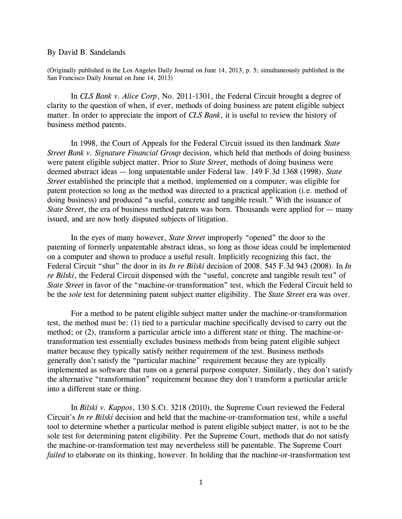## By David B. Sandelands

(Originally published in the Los Angeles Daily Journal on June 14, 2013, p. 5; simultaneously published in the San Francisco Daily Journal on June 14, 2013)

In *CLS Bank v. Alice Corp*, No. 2011-1301, the Federal Circuit brought a degree of clarity to the question of when, if ever, methods of doing business are patent eligible subject matter. In order to appreciate the import of *CLS Bank*, it is useful to review the history of business method patents.

In 1998, the Court of Appeals for the Federal Circuit issued its then landmark *State Street Bank v. Signature Financial Group* decision, which held that methods of doing business were patent eligible subject matter. Prior to *State Street*, methods of doing business were deemed abstract ideas — long unpatentable under Federal law. 149 F.3d 1368 (1998). *State Street* established the principle that a method, implemented on a computer, was eligible for patent protection so long as the method was directed to a practical application (i.e. method of doing business) and produced "a useful, concrete and tangible result." With the issuance of *State Street*, the era of business method patents was born. Thousands were applied for — many issued, and are now hotly disputed subjects of litigation.

In the eyes of many however, *State Street* improperly "opened" the door to the patenting of formerly unpatentable abstract ideas, so long as those ideas could be implemented on a computer and shown to produce a useful result. Implicitly recognizing this fact, the Federal Circuit "shut" the door in its *In re Bilski* decision of 2008. 545 F.3d 943 (2008). In *In re Bilski*, the Federal Circuit dispensed with the "useful, concrete and tangible result test" of *State Street* in favor of the "machine-or-transformation" test, which the Federal Circuit held to be the *sole* test for determining patent subject matter eligibility. The *State Street* era was over.

For a method to be patent eligible subject matter under the machine-or-transformation test, the method must be: (1) tied to a particular machine specifically devised to carry out the method; or (2), transform a particular article into a different state or thing. The machine-ortransformation test essentially excludes business methods from being patent eligible subject matter because they typically satisfy neither requirement of the test. Business methods generally don't satisfy the "particular machine" requirement because they are typically implemented as software that runs on a general purpose computer. Similarly, they don't satisfy the alternative "transformation" requirement because they don't transform a particular article into a different state or thing.

In *Bilski v. Kappos*, 130 S.Ct. 3218 (2010), the Supreme Court reviewed the Federal Circuit's *In re Bilski* decision and held that the machine-or-transformation test, while a useful tool to determine whether a particular method is patent eligible subject matter, is not to be the sole test for determining patent eligibility. Per the Supreme Court, methods that do not satisfy the machine-or-transformation test may nevertheless still be patentable. The Supreme Court *failed* to elaborate on its thinking, however. In holding that the machine-or-transformation test